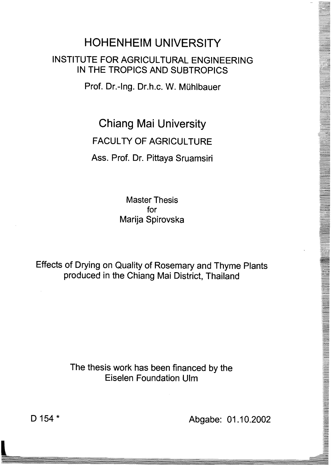## HOHENHEIM UNIVERSITY INSTITUTE FOR AGRICUlTURAl ENGINEERING IN THE TROPICS AND SUBTROPICS

Prof. Dr.-Ing. Dr.h.c. W. Mühlbauer

Chiang Mai University

## FACUlTY OF AGRICUlTURE

## Ass. Prof. Dr. Pittaya Sruamsiri

Master Thesis for Marija Spirovska

Effects of Drying on Quality of Rosemary and Thyme Plants produced in the Chiang Mai District, Thailand

> The thesis work has been financed by the Eiselen Foundation Ulm

D 154 \* Abgabe: 01.10.2002